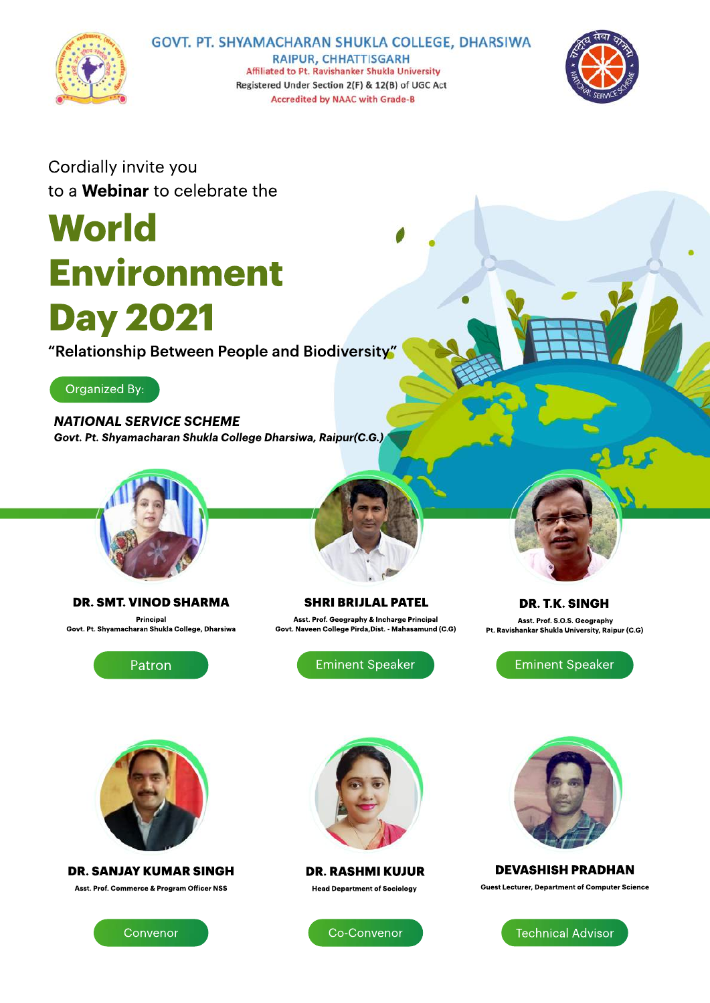

## GOVT. PT. SHYAMACHARAN SHUKLA COLLEGE, DHARSIWA

**RAIPUR, CHHATTISGARH** Affiliated to Pt. Ravishanker Shukla University Registered Under Section 2(F) & 12(B) of UGC Act Accredited by NAAC with Grade-B



Cordially invite you to a **Webinar** to celebrate the

# **World Environment Day2021**

"Relationship Between People and Biodiversity"

Organized By:

*NATIONALSERVICESCHEME Govt.Pt.ShyamacharanShuklaCollegeDharsiwa,Raipur(C.G.)*



### **DR.SMT.VINODSHARMA Principal**

**Govt.Pt.ShyamacharanShuklaCollege,Dharsiwa**



**SHRIBRIJLAL PATEL Asst.Prof.Geography&InchargePrincipal Govt.NaveenCollegePirda,Dist.-Mahasamund(C.G)**

**DR.T.K.SINGH**

**Asst.Prof.S.O.S.Geography** Pt. Ravishankar Shukla University, Raipur (C.G)

Patron **Eminent Speaker Eminent Speaker** Eminent Speaker



**DR. SANJAY KUMAR SINGH Asst.Prof.Commerce&ProgramOfficerNSS**





**DR.RASHMIKUJUR Head Department of Sociology** 



**DEVASHISH PRADHAN Guest Lecturer, Department of Computer Science**